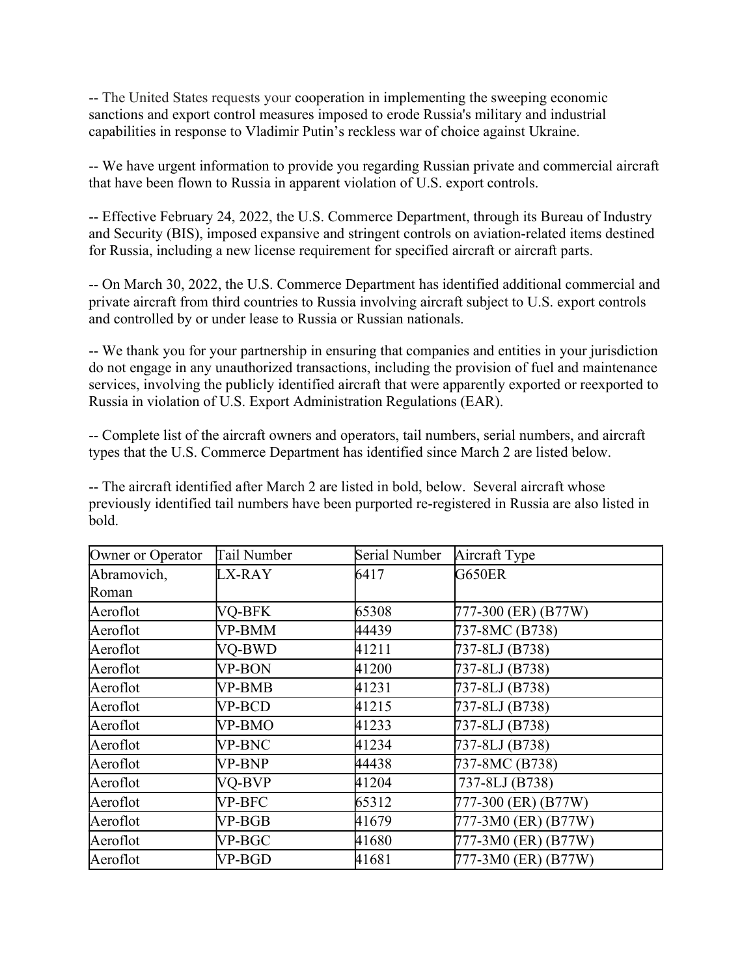-- The United States requests your cooperation in implementing the sweeping economic sanctions and export control measures imposed to erode Russia's military and industrial capabilities in response to Vladimir Putin's reckless war of choice against Ukraine.

-- We have urgent information to provide you regarding Russian private and commercial aircraft that have been flown to Russia in apparent violation of U.S. export controls.

-- Effective February 24, 2022, the U.S. Commerce Department, through its Bureau of Industry and Security (BIS), imposed expansive and stringent controls on aviation-related items destined for Russia, including a new license requirement for specified aircraft or aircraft parts. 

-- On March 30, 2022, the U.S. Commerce Department has identified additional commercial and private aircraft from third countries to Russia involving aircraft subject to U.S. export controls and controlled by or under lease to Russia or Russian nationals.

-- We thank you for your partnership in ensuring that companies and entities in your jurisdiction do not engage in any unauthorized transactions, including the provision of fuel and maintenance services, involving the publicly identified aircraft that were apparently exported or reexported to Russia in violation of U.S. Export Administration Regulations (EAR).

-- Complete list of the aircraft owners and operators, tail numbers, serial numbers, and aircraft types that the U.S. Commerce Department has identified since March 2 are listed below.

-- The aircraft identified after March 2 are listed in bold, below. Several aircraft whose previously identified tail numbers have been purported re-registered in Russia are also listed in bold.

| Owner or Operator | Tail Number | Serial Number | Aircraft Type       |
|-------------------|-------------|---------------|---------------------|
| Abramovich,       | LX-RAY      | 6417          | G650ER              |
| Roman             |             |               |                     |
| Aeroflot          | VQ-BFK      | 65308         | 777-300 (ER) (B77W) |
| Aeroflot          | VP-BMM      | 44439         | 737-8MC (B738)      |
| Aeroflot          | VQ-BWD      | 41211         | 737-8LJ (B738)      |
| Aeroflot          | VP-BON      | 41200         | 737-8LJ (B738)      |
| Aeroflot          | VP-BMB      | 41231         | 737-8LJ (B738)      |
| Aeroflot          | VP-BCD      | 41215         | 737-8LJ (B738)      |
| Aeroflot          | VP-BMO      | 41233         | 737-8LJ (B738)      |
| Aeroflot          | VP-BNC      | 41234         | 737-8LJ (B738)      |
| Aeroflot          | VP-BNP      | 44438         | 737-8MC (B738)      |
| Aeroflot          | VQ-BVP      | 41204         | 737-8LJ (B738)      |
| Aeroflot          | VP-BFC      | 65312         | 777-300 (ER) (B77W) |
| Aeroflot          | VP-BGB      | 41679         | 777-3M0 (ER) (B77W) |
| Aeroflot          | VP-BGC      | 41680         | 777-3M0 (ER) (B77W) |
| Aeroflot          | VP-BGD      | 41681         | 777-3M0 (ER) (B77W) |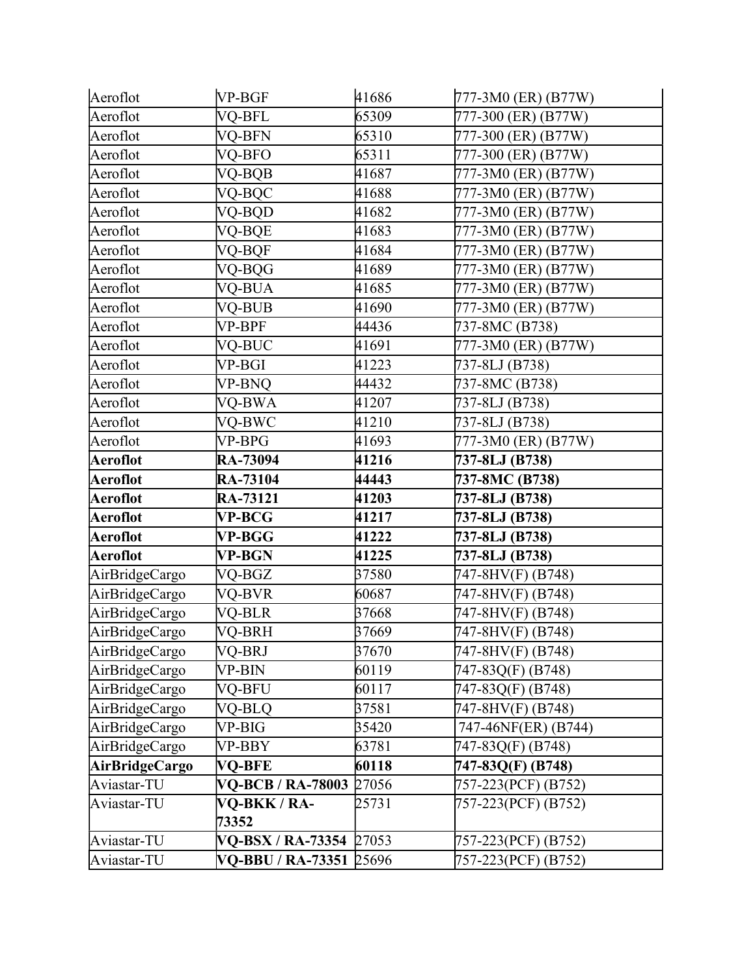| Aeroflot        | VP-BGF                   | 41686 | 777-3M0 (ER) (B77W) |
|-----------------|--------------------------|-------|---------------------|
| Aeroflot        | VQ-BFL                   | 65309 | 777-300 (ER) (B77W) |
| Aeroflot        | VQ-BFN                   | 65310 | 777-300 (ER) (B77W) |
| Aeroflot        | VQ-BFO                   | 65311 | 777-300 (ER) (B77W) |
| Aeroflot        | VQ-BQB                   | 41687 | 777-3M0 (ER) (B77W) |
| Aeroflot        | VQ-BQC                   | 41688 | 777-3M0 (ER) (B77W) |
| Aeroflot        | VQ-BQD                   | 41682 | 777-3M0 (ER) (B77W) |
| Aeroflot        | VQ-BQE                   | 41683 | 777-3M0 (ER) (B77W) |
| Aeroflot        | VQ-BQF                   | 41684 | 777-3M0 (ER) (B77W) |
| Aeroflot        | VQ-BQG                   | 41689 | 777-3M0 (ER) (B77W) |
| Aeroflot        | VQ-BUA                   | 41685 | 777-3M0 (ER) (B77W) |
| Aeroflot        | VQ-BUB                   | 41690 | 777-3M0 (ER) (B77W) |
| Aeroflot        | VP-BPF                   | 44436 | 737-8MC (B738)      |
| Aeroflot        | VQ-BUC                   | 41691 | 777-3M0 (ER) (B77W) |
| Aeroflot        | VP-BGI                   | 41223 | 737-8LJ (B738)      |
| Aeroflot        | VP-BNO                   | 44432 | 737-8MC (B738)      |
| Aeroflot        | VQ-BWA                   | 41207 | 737-8LJ (B738)      |
| Aeroflot        | VQ-BWC                   | 41210 | 737-8LJ (B738)      |
| Aeroflot        | VP-BPG                   | 41693 | 777-3M0 (ER) (B77W) |
| <b>Aeroflot</b> | <b>RA-73094</b>          | 41216 | 737-8LJ (B738)      |
| <b>Aeroflot</b> | <b>RA-73104</b>          | 44443 | 737-8MC (B738)      |
| <b>Aeroflot</b> | RA-73121                 | 41203 | 737-8LJ (B738)      |
| <b>Aeroflot</b> | <b>VP-BCG</b>            | 41217 | 737-8LJ (B738)      |
| <b>Aeroflot</b> | <b>VP-BGG</b>            | 41222 | 737-8LJ (B738)      |
| <b>Aeroflot</b> | VP-BGN                   | 41225 | 737-8LJ (B738)      |
| AirBridgeCargo  | VQ-BGZ                   | 37580 | 747-8HV(F) (B748)   |
| AirBridgeCargo  | VQ-BVR                   | 60687 | 747-8HV(F) (B748)   |
| AirBridgeCargo  | VQ-BLR                   | 37668 | 747-8HV(F) (B748)   |
| AirBridgeCargo  | VQ-BRH                   | 37669 | 747-8HV(F) (B748)   |
| AirBridgeCargo  | VQ-BRJ                   | 37670 | 747-8HV(F) (B748)   |
| AirBridgeCargo  | VP-BIN                   | 60119 | 747-83Q(F) (B748)   |
| AirBridgeCargo  | VQ-BFU                   | 60117 | 747-83Q(F) (B748)   |
| AirBridgeCargo  | VQ-BLQ                   | 37581 | 747-8HV(F) (B748)   |
| AirBridgeCargo  | VP-BIG                   | 35420 | 747-46NF(ER) (B744) |
| AirBridgeCargo  | VP-BBY                   | 63781 | 747-83Q(F) (B748)   |
| AirBridgeCargo  | VQ-BFE                   | 60118 | 747-83Q(F) (B748)   |
| Aviastar-TU     | <b>VQ-BCB / RA-78003</b> | 27056 | 757-223(PCF) (B752) |
| Aviastar-TU     | VQ-BKK / RA-             | 25731 | 757-223(PCF) (B752) |
|                 | 73352                    |       |                     |
| Aviastar-TU     | VQ-BSX / RA-73354 27053  |       | 757-223(PCF) (B752) |
| Aviastar-TU     | <b>VQ-BBU / RA-73351</b> | 25696 | 757-223(PCF) (B752) |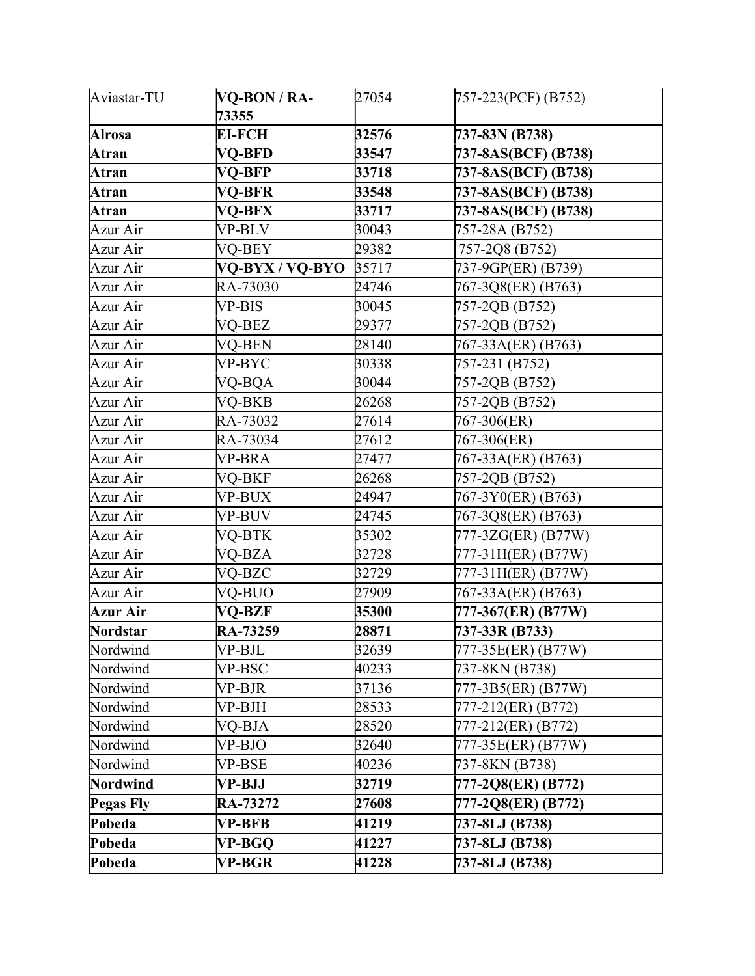| Aviastar-TU      | VQ-BON / RA-<br>73355 | 27054 | 757-223(PCF) (B752) |
|------------------|-----------------------|-------|---------------------|
| <b>Alrosa</b>    | <b>EI-FCH</b>         | 32576 | 737-83N (B738)      |
| Atran            | VQ-BFD                | 33547 | 737-8AS(BCF) (B738) |
| Atran            | VQ-BFP                | 33718 | 737-8AS(BCF) (B738) |
| Atran            | VQ-BFR                | 33548 | 737-8AS(BCF) (B738) |
| Atran            | <b>VQ-BFX</b>         | 33717 | 737-8AS(BCF) (B738) |
| Azur Air         | VP-BLV                | 30043 | 757-28A (B752)      |
| Azur Air         | VQ-BEY                | 29382 | 757-2Q8 (B752)      |
| Azur Air         | VQ-BYX / VQ-BYO       | 35717 | 737-9GP(ER) (B739)  |
| Azur Air         | RA-73030              | 24746 | 767-3Q8(ER) (B763)  |
| Azur Air         | VP-BIS                | 30045 | 757-2QB (B752)      |
| Azur Air         | VQ-BEZ                | 29377 | 757-2QB (B752)      |
| Azur Air         | VQ-BEN                | 28140 | 767-33A(ER) (B763)  |
| Azur Air         | VP-BYC                | 30338 | 757-231 (B752)      |
| Azur Air         | VQ-BQA                | 30044 | 757-2QB (B752)      |
| Azur Air         | VQ-BKB                | 26268 | 757-2QB (B752)      |
| Azur Air         | RA-73032              | 27614 | 767-306(ER)         |
| Azur Air         | RA-73034              | 27612 | 767-306(ER)         |
| Azur Air         | VP-BRA                | 27477 | 767-33A(ER) (B763)  |
| Azur Air         | VQ-BKF                | 26268 | 757-2QB (B752)      |
| Azur Air         | VP-BUX                | 24947 | 767-3Y0(ER) (B763)  |
| Azur Air         | VP-BUV                | 24745 | 767-3Q8(ER) (B763)  |
| Azur Air         | VQ-BTK                | 35302 | 777-3ZG(ER) (B77W)  |
| Azur Air         | VQ-BZA                | 32728 | 777-31H(ER) (B77W)  |
| Azur Air         | VQ-BZC                | 32729 | 777-31H(ER) (B77W)  |
| Azur Air         | VQ-BUO                | 27909 | 767-33A(ER) (B763)  |
| <b>Azur Air</b>  | VQ-BZF                | 35300 | 777-367(ER) (B77W)  |
| Nordstar         | RA-73259              | 28871 | 737-33R (B733)      |
| Nordwind         | VP-BJL                | 32639 | 777-35E(ER) (B77W)  |
| Nordwind         | VP-BSC                | 40233 | 737-8KN (B738)      |
| Nordwind         | VP-BJR                | 37136 | 777-3B5(ER) (B77W)  |
| Nordwind         | VP-BJH                | 28533 | 777-212(ER) (B772)  |
| Nordwind         | VQ-BJA                | 28520 | 777-212(ER) (B772)  |
| Nordwind         | VP-BJO                | 32640 | 777-35E(ER) (B77W)  |
| Nordwind         | VP-BSE                | 40236 | 737-8KN (B738)      |
| Nordwind         | VP-BJJ                | 32719 | 777-2Q8(ER) (B772)  |
| <b>Pegas Fly</b> | RA-73272              | 27608 | 777-2Q8(ER) (B772)  |
| Pobeda           | VP-BFB                | 41219 | 737-8LJ (B738)      |
| Pobeda           | VP-BGQ                | 41227 | 737-8LJ (B738)      |
| Pobeda           | <b>VP-BGR</b>         | 41228 | 737-8LJ (B738)      |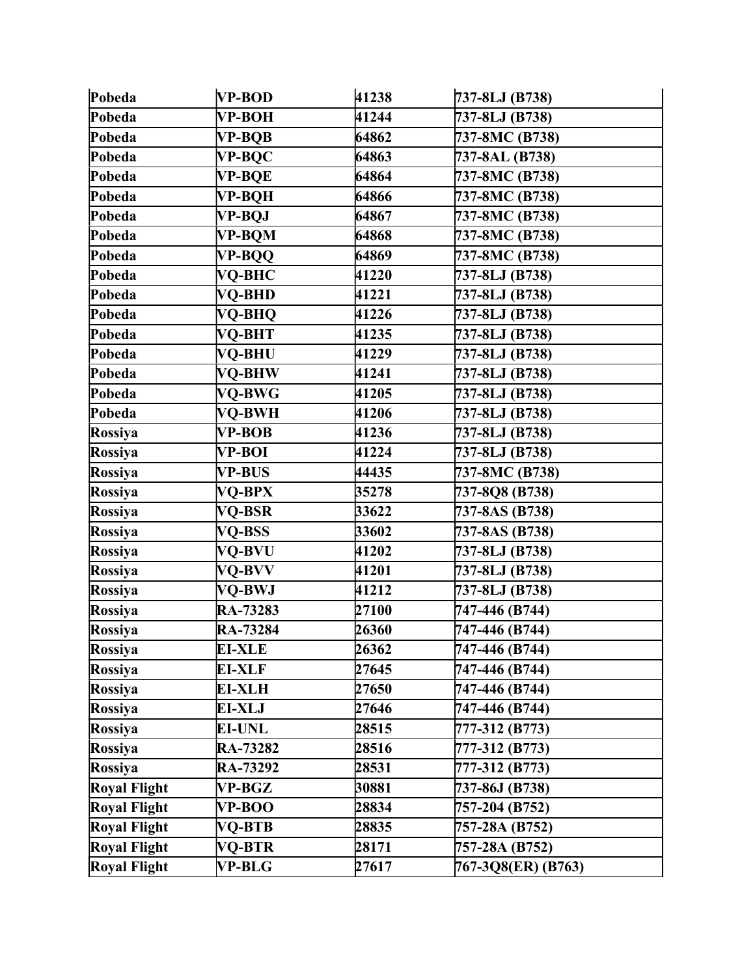| Pobeda              | <b>VP-BOD</b> | 41238 | 737-8LJ (B738)     |
|---------------------|---------------|-------|--------------------|
| Pobeda              | VP-BOH        | 41244 | 737-8LJ (B738)     |
| Pobeda              | <b>VP-BQB</b> | 64862 | 737-8MC (B738)     |
| Pobeda              | <b>VP-BQC</b> | 64863 | 737-8AL (B738)     |
| Pobeda              | VP-BQE        | 64864 | 737-8MC (B738)     |
| Pobeda              | VP-BQH        | 64866 | 737-8MC (B738)     |
| Pobeda              | VP-BQJ        | 64867 | 737-8MC (B738)     |
| Pobeda              | VP-BQM        | 64868 | 737-8MC (B738)     |
| Pobeda              | VP-BQQ        | 64869 | 737-8MC (B738)     |
| Pobeda              | VQ-BHC        | 41220 | 737-8LJ (B738)     |
| Pobeda              | VQ-BHD        | 41221 | 737-8LJ (B738)     |
| Pobeda              | VQ-BHQ        | 41226 | 737-8LJ (B738)     |
| Pobeda              | VQ-BHT        | 41235 | 737-8LJ (B738)     |
| Pobeda              | VQ-BHU        | 41229 | 737-8LJ (B738)     |
| Pobeda              | VQ-BHW        | 41241 | 737-8LJ (B738)     |
| Pobeda              | <b>VO-BWG</b> | 41205 | 737-8LJ (B738)     |
| Pobeda              | VO-BWH        | 41206 | 737-8LJ (B738)     |
| Rossiya             | <b>VP-BOB</b> | 41236 | 737-8LJ (B738)     |
| Rossiya             | VP-BOI        | 41224 | 737-8LJ (B738)     |
| Rossiya             | <b>VP-BUS</b> | 44435 | 737-8MC (B738)     |
| Rossiya             | VQ-BPX        | 35278 | 737-8Q8 (B738)     |
| Rossiya             | VQ-BSR        | 33622 | 737-8AS (B738)     |
| Rossiya             | VQ-BSS        | 33602 | 737-8AS (B738)     |
| Rossiya             | VQ-BVU        | 41202 | 737-8LJ (B738)     |
| Rossiya             | VQ-BVV        | 41201 | 737-8LJ (B738)     |
| Rossiya             | VQ-BWJ        | 41212 | 737-8LJ (B738)     |
| Rossiya             | RA-73283      | 27100 | 747-446 (B744)     |
| Rossiya             | RA-73284      | 26360 | 747-446 (B744)     |
| Rossiya             | <b>EI-XLE</b> | 26362 | 747-446 (B744)     |
| Rossiya             | <b>EI-XLF</b> | 27645 | 747-446 (B744)     |
| Rossiya             | EI-XLH        | 27650 | 747-446 (B744)     |
| Rossiya             | <b>EI-XLJ</b> | 27646 | 747-446 (B744)     |
| Rossiya             | <b>EI-UNL</b> | 28515 | 777-312 (B773)     |
| Rossiya             | RA-73282      | 28516 | 777-312 (B773)     |
| Rossiya             | RA-73292      | 28531 | 777-312 (B773)     |
| Royal Flight        | VP-BGZ        | 30881 | 737-86J (B738)     |
| <b>Royal Flight</b> | VP-BOO        | 28834 | 757-204 (B752)     |
| <b>Royal Flight</b> | VQ-BTB        | 28835 | 757-28A (B752)     |
| <b>Royal Flight</b> | VQ-BTR        | 28171 | 757-28A (B752)     |
| <b>Royal Flight</b> | <b>VP-BLG</b> | 27617 | 767-3Q8(ER) (B763) |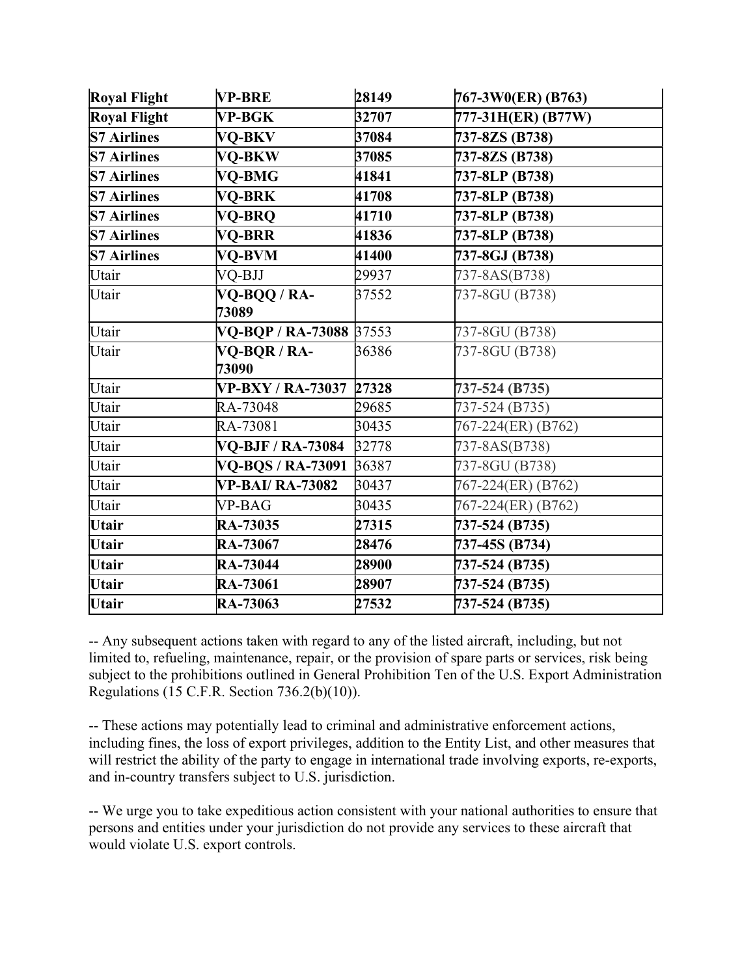| <b>Royal Flight</b> | VP-BRE                   | 28149 | 767-3W0(ER) (B763) |
|---------------------|--------------------------|-------|--------------------|
| Royal Flight        | <b>VP-BGK</b>            | 32707 | 777-31H(ER) (B77W) |
| <b>S7 Airlines</b>  | VQ-BKV                   | 37084 | 737-8ZS (B738)     |
| <b>S7 Airlines</b>  | VQ-BKW                   | 37085 | 737-8ZS (B738)     |
| <b>S7 Airlines</b>  | <b>VO-BMG</b>            | 41841 | 737-8LP (B738)     |
| <b>S7 Airlines</b>  | <b>VO-BRK</b>            | 41708 | 737-8LP (B738)     |
| <b>S7 Airlines</b>  | VQ-BRQ                   | 41710 | 737-8LP (B738)     |
| <b>S7 Airlines</b>  | VQ-BRR                   | 41836 | 737-8LP (B738)     |
| <b>S7 Airlines</b>  | VO-BVM                   | 41400 | 737-8GJ (B738)     |
| Utair               | VQ-BJJ                   | 29937 | 737-8AS(B738)      |
| Utair               | VQ-BQQ / RA-             | 37552 | 737-8GU (B738)     |
|                     | 73089                    |       |                    |
| Utair               | VQ-BQP / RA-73088 37553  |       | 737-8GU (B738)     |
| Utair               | VQ-BQR / RA-<br>73090    | 36386 | 737-8GU (B738)     |
| Utair               | <b>VP-BXY / RA-73037</b> | 27328 | 737-524 (B735)     |
| Utair               | RA-73048                 | 29685 | 737-524 (B735)     |
| Utair               | RA-73081                 | 30435 | 767-224(ER) (B762) |
| Utair               | <b>VQ-BJF / RA-73084</b> | 32778 | 737-8AS(B738)      |
| Utair               | VQ-BQS / RA-73091        | 36387 | 737-8GU (B738)     |
| Utair               | <b>VP-BAI/RA-73082</b>   | 30437 | 767-224(ER) (B762) |
| Utair               | VP-BAG                   | 30435 | 767-224(ER) (B762) |
| Utair               | <b>RA-73035</b>          | 27315 | 737-524 (B735)     |
| Utair               | RA-73067                 | 28476 | 737-45S (B734)     |
| Utair               | <b>RA-73044</b>          | 28900 | 737-524 (B735)     |
| Utair               | <b>RA-73061</b>          | 28907 | 737-524 (B735)     |
| <b>Utair</b>        | RA-73063                 | 27532 | 737-524 (B735)     |

-- Any subsequent actions taken with regard to any of the listed aircraft, including, but not limited to, refueling, maintenance, repair, or the provision of spare parts or services, risk being subject to the prohibitions outlined in General Prohibition Ten of the U.S. Export Administration Regulations (15 C.F.R. Section 736.2(b)(10)).

-- These actions may potentially lead to criminal and administrative enforcement actions, including fines, the loss of export privileges, addition to the Entity List, and other measures that will restrict the ability of the party to engage in international trade involving exports, re-exports, and in-country transfers subject to U.S. jurisdiction.

-- We urge you to take expeditious action consistent with your national authorities to ensure that persons and entities under your jurisdiction do not provide any services to these aircraft that would violate U.S. export controls.